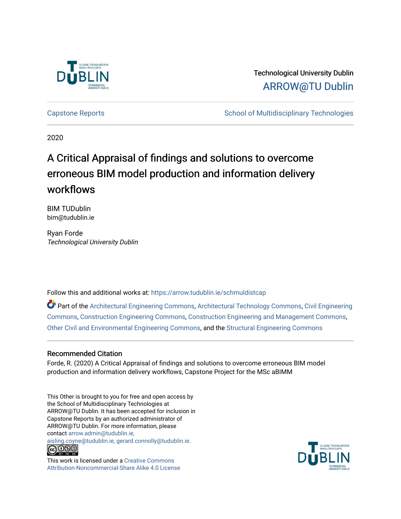

# Technological University Dublin [ARROW@TU Dublin](https://arrow.tudublin.ie/)

[Capstone Reports](https://arrow.tudublin.ie/schmuldistcap) **School of Multidisciplinary Technologies** School of Multidisciplinary Technologies

2020

# A Critical Appraisal of findings and solutions to overcome erroneous BIM model production and information delivery workflows

BIM TUDublin bim@tudublin.ie

Ryan Forde Technological University Dublin

Follow this and additional works at: [https://arrow.tudublin.ie/schmuldistcap](https://arrow.tudublin.ie/schmuldistcap?utm_source=arrow.tudublin.ie%2Fschmuldistcap%2F23&utm_medium=PDF&utm_campaign=PDFCoverPages)

Part of the [Architectural Engineering Commons](http://network.bepress.com/hgg/discipline/774?utm_source=arrow.tudublin.ie%2Fschmuldistcap%2F23&utm_medium=PDF&utm_campaign=PDFCoverPages), [Architectural Technology Commons,](http://network.bepress.com/hgg/discipline/1194?utm_source=arrow.tudublin.ie%2Fschmuldistcap%2F23&utm_medium=PDF&utm_campaign=PDFCoverPages) [Civil Engineering](http://network.bepress.com/hgg/discipline/252?utm_source=arrow.tudublin.ie%2Fschmuldistcap%2F23&utm_medium=PDF&utm_campaign=PDFCoverPages) [Commons](http://network.bepress.com/hgg/discipline/252?utm_source=arrow.tudublin.ie%2Fschmuldistcap%2F23&utm_medium=PDF&utm_campaign=PDFCoverPages), [Construction Engineering Commons](http://network.bepress.com/hgg/discipline/775?utm_source=arrow.tudublin.ie%2Fschmuldistcap%2F23&utm_medium=PDF&utm_campaign=PDFCoverPages), [Construction Engineering and Management Commons,](http://network.bepress.com/hgg/discipline/253?utm_source=arrow.tudublin.ie%2Fschmuldistcap%2F23&utm_medium=PDF&utm_campaign=PDFCoverPages) [Other Civil and Environmental Engineering Commons](http://network.bepress.com/hgg/discipline/257?utm_source=arrow.tudublin.ie%2Fschmuldistcap%2F23&utm_medium=PDF&utm_campaign=PDFCoverPages), and the [Structural Engineering Commons](http://network.bepress.com/hgg/discipline/256?utm_source=arrow.tudublin.ie%2Fschmuldistcap%2F23&utm_medium=PDF&utm_campaign=PDFCoverPages) 

# Recommended Citation

Forde, R. (2020) A Critical Appraisal of findings and solutions to overcome erroneous BIM model production and information delivery workflows, Capstone Project for the MSc aBIMM

This Other is brought to you for free and open access by the School of Multidisciplinary Technologies at ARROW@TU Dublin. It has been accepted for inclusion in Capstone Reports by an authorized administrator of ARROW@TU Dublin. For more information, please contact [arrow.admin@tudublin.ie,](mailto:arrow.admin@tudublin.ie,%20aisling.coyne@tudublin.ie,%20gerard.connolly@tudublin.ie)  [aisling.coyne@tudublin.ie, gerard.connolly@tudublin.ie](mailto:arrow.admin@tudublin.ie,%20aisling.coyne@tudublin.ie,%20gerard.connolly@tudublin.ie).

<u>@@@</u> SY NO SA

This work is licensed under a [Creative Commons](http://creativecommons.org/licenses/by-nc-sa/4.0/) [Attribution-Noncommercial-Share Alike 4.0 License](http://creativecommons.org/licenses/by-nc-sa/4.0/)

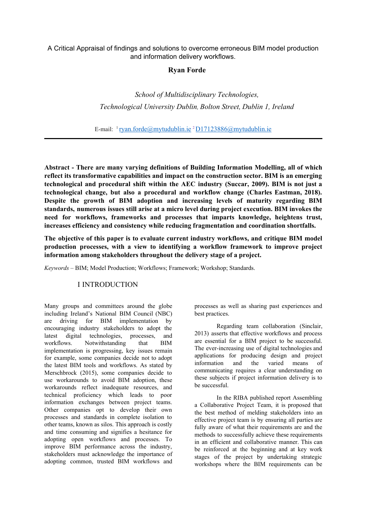# A Critical Appraisal of findings and solutions to overcome erroneous BIM model production and information delivery workflows.

# **Ryan Forde**

*School of Multidisciplinary Technologies, Technological University Dublin, Bolton Street, Dublin 1, Ireland*

E-mail: <sup>1</sup> [ryan.forde@mytudublin.ie](mailto:ryan.forde@mytudublin.ie) <sup>2</sup>[D17123886@mytudublin.ie](mailto:D17123886@mytudublin.ie)

**Abstract - There are many varying definitions of Building Information Modelling, all of which reflect its transformative capabilities and impact on the construction sector. BIM is an emerging technological and procedural shift within the AEC industry (Succar, 2009). BIM is not just a technological change, but also a procedural and workflow change (Charles Eastman, 2018). Despite the growth of BIM adoption and increasing levels of maturity regarding BIM standards, numerous issues still arise at a micro level during project execution. BIM invokes the need for workflows, frameworks and processes that imparts knowledge, heightens trust, increases efficiency and consistency while reducing fragmentation and coordination shortfalls.**

**The objective of this paper is to evaluate current industry workflows, and critique BIM model production processes, with a view to identifying a workflow framework to improve project information among stakeholders throughout the delivery stage of a project.**

*Keywords –* BIM; Model Production; Workflows; Framework; Workshop; Standards.

# I INTRODUCTION

Many groups and committees around the globe including Ireland's National BIM Council (NBC) are driving for BIM implementation by encouraging industry stakeholders to adopt the latest digital technologies, processes, and workflows. Notwithstanding that BIM implementation is progressing, key issues remain for example, some companies decide not to adopt the latest BIM tools and workflows. As stated by Merschbrock (2015), some companies decide to use workarounds to avoid BIM adoption, these workarounds reflect inadequate resources, and technical proficiency which leads to poor information exchanges between project teams. Other companies opt to develop their own processes and standards in complete isolation to other teams, known as silos. This approach is costly and time consuming and signifies a hesitance for adopting open workflows and processes. To improve BIM performance across the industry, stakeholders must acknowledge the importance of adopting common, trusted BIM workflows and processes as well as sharing past experiences and best practices.

Regarding team collaboration (Sinclair, 2013) asserts that effective workflows and process are essential for a BIM project to be successful. The ever-increasing use of digital technologies and applications for producing design and project information and the varied means of communicating requires a clear understanding on these subjects if project information delivery is to be successful.

In the RIBA published report Assembling a Collaborative Project Team, it is proposed that the best method of melding stakeholders into an effective project team is by ensuring all parties are fully aware of what their requirements are and the methods to successfully achieve these requirements in an efficient and collaborative manner. This can be reinforced at the beginning and at key work stages of the project by undertaking strategic workshops where the BIM requirements can be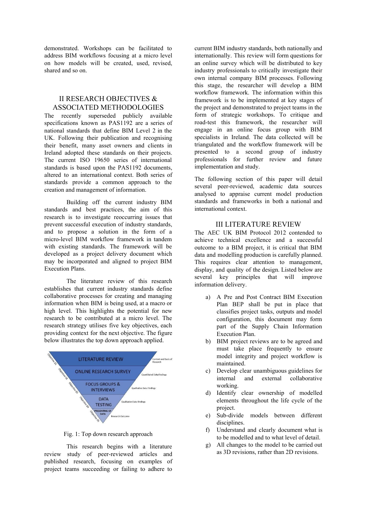demonstrated. Workshops can be facilitated to address BIM workflows focusing at a micro level on how models will be created, used, revised, shared and so on.

# II RESEARCH OBJECTIVES & ASSOCIATED METHODOLOGIES

The recently superseded publicly available specifications known as PAS1192 are a series of national standards that define BIM Level 2 in the UK. Following their publication and recognising their benefit, many asset owners and clients in Ireland adopted these standards on their projects. The current ISO 19650 series of international standards is based upon the PAS1192 documents, altered to an international context. Both series of standards provide a common approach to the creation and management of information.

Building off the current industry BIM standards and best practices, the aim of this research is to investigate reoccurring issues that prevent successful execution of industry standards, and to propose a solution in the form of a micro-level BIM workflow framework in tandem with existing standards. The framework will be developed as a project delivery document which may be incorporated and aligned to project BIM Execution Plans.

The literature review of this research establishes that current industry standards define collaborative processes for creating and managing information when BIM is being used, at a macro or high level. This highlights the potential for new research to be contributed at a micro level. The research strategy utilises five key objectives, each providing context for the next objective. The figure below illustrates the top down approach applied.



Fig. 1: Top down research approach

This research begins with a literature review study of peer-reviewed articles and published research, focusing on examples of project teams succeeding or failing to adhere to current BIM industry standards, both nationally and internationally. This review will form questions for an online survey which will be distributed to key industry professionals to critically investigate their own internal company BIM processes. Following this stage, the researcher will develop a BIM workflow framework. The information within this framework is to be implemented at key stages of the project and demonstrated to project teams in the form of strategic workshops. To critique and road-test this framework, the researcher will engage in an online focus group with BIM specialists in Ireland. The data collected will be triangulated and the workflow framework will be presented to a second group of industry professionals for further review and future implementation and study.

The following section of this paper will detail several peer-reviewed, academic data sources analysed to appraise current model production standards and frameworks in both a national and international context.

# III LITERATURE REVIEW

The AEC UK BIM Protocol 2012 contended to achieve technical excellence and a successful outcome to a BIM project, it is critical that BIM data and modelling production is carefully planned. This requires clear attention to management, display, and quality of the design. Listed below are several key principles that will improve information delivery.

- a) A Pre and Post Contract BIM Execution Plan BEP shall be put in place that classifies project tasks, outputs and model configuration, this document may form part of the Supply Chain Information Execution Plan.
- b) BIM project reviews are to be agreed and must take place frequently to ensure model integrity and project workflow is maintained.
- c) Develop clear unambiguous guidelines for internal and external collaborative working.
- d) Identify clear ownership of modelled elements throughout the life cycle of the project.
- e) Sub-divide models between different disciplines.
- f) Understand and clearly document what is to be modelled and to what level of detail.
- g) All changes to the model to be carried out as 3D revisions, rather than 2D revisions.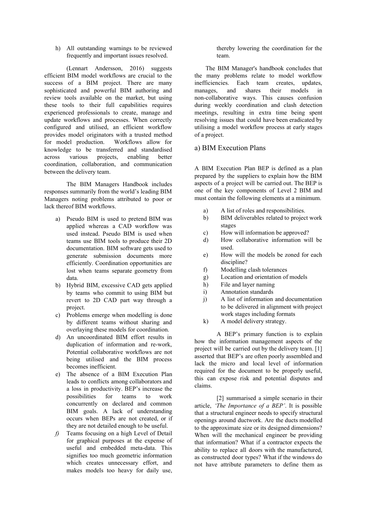h) All outstanding warnings to be reviewed frequently and important issues resolved.

(Lennart Andersson, 2016) suggests efficient BIM model workflows are crucial to the success of a BIM project. There are many sophisticated and powerful BIM authoring and review tools available on the market, but using these tools to their full capabilities requires experienced professionals to create, manage and update workflows and processes. When correctly configured and utilised, an efficient workflow provides model originators with a trusted method for model production. Workflows allow for knowledge to be transferred and standardised across various projects, enabling better coordination, collaboration, and communication between the delivery team.

The BIM Managers Handbook includes responses summarily from the world's leading BIM Managers noting problems attributed to poor or lack thereof BIM workflows.

- a) Pseudo BIM is used to pretend BIM was applied whereas a CAD workflow was used instead. Pseudo BIM is used when teams use BIM tools to produce their 2D documentation. BIM software gets used to generate submission documents more efficiently. Coordination opportunities are lost when teams separate geometry from data.
- b) Hybrid BIM, excessive CAD gets applied by teams who commit to using BIM but revert to 2D CAD part way through a project.
- c) Problems emerge when modelling is done by different teams without sharing and overlaying these models for coordination.
- d) An uncoordinated BIM effort results in duplication of information and re-work, Potential collaborative workflows are not being utilised and the BIM process becomes inefficient.
- e) The absence of a BIM Execution Plan leads to conflicts among collaborators and a loss in productivity. BEP's increase the possibilities for teams to work concurrently on declared and common BIM goals. A lack of understanding occurs when BEPs are not created, or if they are not detailed enough to be useful.
- *f)* Teams focusing on a high Level of Detail for graphical purposes at the expense of useful and embedded meta-data. This signifies too much geometric information which creates unnecessary effort, and makes models too heavy for daily use,

thereby lowering the coordination for the team.

The BIM Manager's handbook concludes that the many problems relate to model workflow inefficiencies. Each team creates, updates, manages, and shares their models in non-collaborative ways. This causes confusion during weekly coordination and clash detection meetings, resulting in extra time being spent resolving issues that could have been eradicated by utilising a model workflow process at early stages of a project.

# a) BIM Execution Plans

A BIM Execution Plan BEP is defined as a plan prepared by the suppliers to explain how the BIM aspects of a project will be carried out. The BEP is one of the key components of Level 2 BIM and must contain the following elements at a minimum.

- a) A list of roles and responsibilities.
- b) BIM deliverables related to project work stages
- c) How will information be approved?
- d) How collaborative information will be used.
- e) How will the models be zoned for each discipline?
- f) Modelling clash tolerances
- g) Location and orientation of models
- h) File and layer naming
- i) Annotation standards
- j) A list of information and documentation to be delivered in alignment with project work stages including formats
- k) A model delivery strategy.

A BEP's primary function is to explain how the information management aspects of the project will be carried out by the delivery team. [1] asserted that BEP's are often poorly assembled and lack the micro and local level of information required for the document to be properly useful, this can expose risk and potential disputes and claims.

[2] summarised a simple scenario in their article, *'The Importance of a BEP'*. It is possible that a structural engineer needs to specify structural openings around ductwork. Are the ducts modelled to the approximate size or its designed dimensions? When will the mechanical engineer be providing that information? What if a contractor expects the ability to replace all doors with the manufactured, as constructed door types? What if the windows do not have attribute parameters to define them as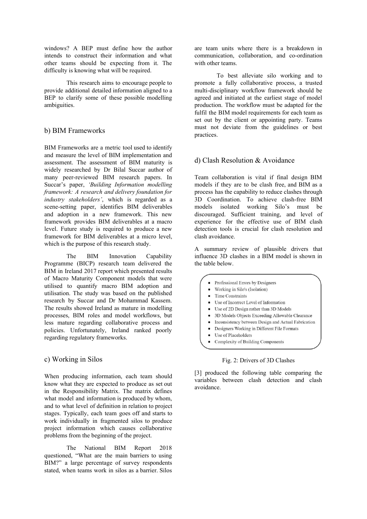windows? A BEP must define how the author intends to construct their information and what other teams should be expecting from it. The difficulty is knowing what will be required.

This research aims to encourage people to provide additional detailed information aligned to a BEP to clarify some of these possible modelling ambiguities.

# b) BIM Frameworks

BIM Frameworks are a metric tool used to identify and measure the level of BIM implementation and assessment. The assessment of BIM maturity is widely researched by Dr Bilal Succar author of many peer-reviewed BIM research papers. In Succar's paper, *'Building Information modelling framework: A research and delivery foundation for industry stakeholders'*, which is regarded as a scene-setting paper, identifies BIM deliverables and adoption in a new framework. This new framework provides BIM deliverables at a macro level. Future study is required to produce a new framework for BIM deliverables at a micro level, which is the purpose of this research study.

The BIM Innovation Capability Programme (BICP) research team delivered the BIM in Ireland 2017 report which presented results of Macro Maturity Component models that were utilised to quantify macro BIM adoption and utilisation. The study was based on the published research by Succar and Dr Mohammad Kassem. The results showed Ireland as mature in modelling processes, BIM roles and model workflows, but less mature regarding collaborative process and policies. Unfortunately, Ireland ranked poorly regarding regulatory frameworks.

# c) Working in Silos

When producing information, each team should know what they are expected to produce as set out in the Responsibility Matrix. The matrix defines what model and information is produced by whom, and to what level of definition in relation to project stages. Typically, each team goes off and starts to work individually in fragmented silos to produce project information which causes collaborative problems from the beginning of the project.

The National BIM Report 2018 questioned, "What are the main barriers to using BIM?" a large percentage of survey respondents stated, when teams work in silos as a barrier. Silos are team units where there is a breakdown in communication, collaboration, and co-ordination with other teams.

To best alleviate silo working and to promote a fully collaborative process, a trusted multi-disciplinary workflow framework should be agreed and initiated at the earliest stage of model production. The workflow must be adapted for the fulfil the BIM model requirements for each team as set out by the client or appointing party. Teams must not deviate from the guidelines or best practices.

# d) Clash Resolution & Avoidance

Team collaboration is vital if final design BIM models if they are to be clash free, and BIM as a process has the capability to reduce clashes through 3D Coordination. To achieve clash-free BIM models isolated working Silo's must be discouraged. Sufficient training, and level of experience for the effective use of BIM clash detection tools is crucial for clash resolution and clash avoidance.

A summary review of plausible drivers that influence 3D clashes in a BIM model is shown in the table below.

- Professional Errors by Designers
- Working in Silo's (Isolation)
- Time Constraints
- Use of Incorrect Level of Information
- Use of 2D Design rather than 3D Models
- $\bullet$ 3D Models Objects Exceeding Allowable Clearance
- Inconsistency between Design and Actual Fabrication  $\bullet$
- Designers Working in Different File Formats  $\bullet$
- Use of Placeholders
- Complexity of Building Components

#### Fig. 2: Drivers of 3D Clashes

[3] produced the following table comparing the variables between clash detection and clash avoidance.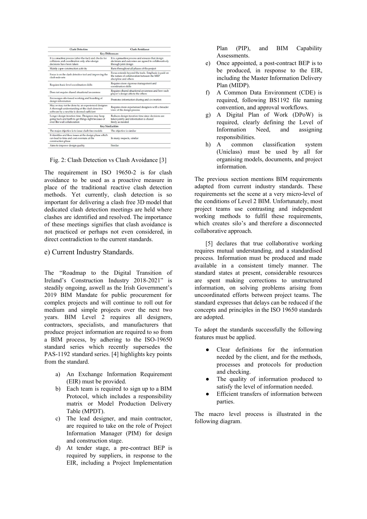| <b>Clash Detection</b>                                                                                                                             | Clash Avoidance                                                                                                                   |  |  |  |  |
|----------------------------------------------------------------------------------------------------------------------------------------------------|-----------------------------------------------------------------------------------------------------------------------------------|--|--|--|--|
| <b>Key Differences</b>                                                                                                                             |                                                                                                                                   |  |  |  |  |
| It is a reactive process (after-the-fact) and checks for<br>collisions and coordination only after design<br>decisions have been taken.            | It is a proactive process and ensures that design<br>decisions and outcomes are agreed to collaboratively<br>through joint design |  |  |  |  |
| Mainly a pre-construction activity                                                                                                                 | Runs throughout all phases of the project                                                                                         |  |  |  |  |
| Focus is on the clash detective tool and improving the<br>clash-rule sets                                                                          | Focus extends beyond the tools. Emphasis is paid on<br>the nature of collaboration between the MEP<br>discipline and others       |  |  |  |  |
| Requires basic level coordination skills                                                                                                           | Requires more rigorous management and<br>coordination skills.                                                                     |  |  |  |  |
| Does not require shared situational awareness                                                                                                      | Requires shared situational awareness and how each<br>player's design affects the others                                          |  |  |  |  |
| Encourages silo-based working and hoarding of<br>design information                                                                                | Promotes information sharing and co-creation                                                                                      |  |  |  |  |
| May or may not be done by an experienced designer.<br>A thorough understanding of the clash detective<br>software by a newbie is deemed sufficient | Requires more experienced designers with a broader<br>view of the design process                                                  |  |  |  |  |
| Longer design iteration time. Designers may keep<br>going back and forth to get things right because of<br>over-the-wall collaboration             | Reduces design iteration time since decisions are<br>taken jointly and information is shared<br>freely as needed                  |  |  |  |  |
| <b>Key Similarities</b>                                                                                                                            |                                                                                                                                   |  |  |  |  |
| The major objective is to issue clash-free models                                                                                                  | The objective is similar                                                                                                          |  |  |  |  |
| It identifies and fixes issues at the design phase which<br>can lead to time and cost overruns at the<br>construction phase                        | In many respects, similar                                                                                                         |  |  |  |  |
| Aims to improve design quality                                                                                                                     | Similar                                                                                                                           |  |  |  |  |

#### Fig. 2: Clash Detection vs Clash Avoidance [3]

The requirement in ISO 19650-2 is for clash avoidance to be used as a proactive measure in place of the traditional reactive clash detection methods. Yet currently, clash detection is so important for delivering a clash free 3D model that dedicated clash detection meetings are held where clashes are identified and resolved. The importance of these meetings signifies that clash avoidance is not practiced or perhaps not even considered, in direct contradiction to the current standards.

#### e) Current Industry Standards.

The "Roadmap to the Digital Transition of Ireland's Construction Industry 2018-2021" is steadily ongoing, aswell as the Irish Government's 2019 BIM Mandate for public procurement for complex projects and will continue to roll out for medium and simple projects over the next two years. BIM Level 2 requires all designers, contractors, specialists, and manufacturers that produce project information are required to so from a BIM process, by adhering to the ISO-19650 standard series which recently supersedes the PAS-1192 standard series. [4] highlights key points from the standard.

- a) An Exchange Information Requirement (EIR) must be provided.
- b) Each team is required to sign up to a BIM Protocol, which includes a responsibility matrix or Model Production Delivery Table (MPDT).
- c) The lead designer, and main contractor, are required to take on the role of Project Information Manager (PIM) for design and construction stage.
- d) At tender stage, a pre-contract BEP is required by suppliers, in response to the EIR, including a Project Implementation

Plan (PIP), and BIM Capability Assessments.

- e) Once appointed, a post-contract BEP is to be produced, in response to the EIR, including the Master Information Delivery Plan (MIDP).
- f) A Common Data Environment (CDE) is required, following BS1192 file naming convention, and approval workflows.
- g) A Digital Plan of Work (DPoW) is required, clearly defining the Level of Information Need, and assigning responsibilities.
- h) A common classification system (Uniclass) must be used by all for organising models, documents, and project information.

The previous section mentions BIM requirements adapted from current industry standards. These requirements set the scene at a very micro-level of the conditions of Level 2 BIM. Unfortunately, most project teams use contrasting and independent working methods to fulfil these requirements, which creates silo's and therefore a disconnected collaborative approach.

[5] declares that true collaborative working requires mutual understanding, and a standardised process. Information must be produced and made available in a consistent timely manner. The standard states at present, considerable resources are spent making corrections to unstructured information, on solving problems arising from uncoordinated efforts between project teams. The standard expresses that delays can be reduced if the concepts and principles in the ISO 19650 standards are adopted.

To adopt the standards successfully the following features must be applied.

- Clear definitions for the information needed by the client, and for the methods, processes and protocols for production and checking.
- The quality of information produced to satisfy the level of information needed.
- Efficient transfers of information between parties.

The macro level process is illustrated in the following diagram.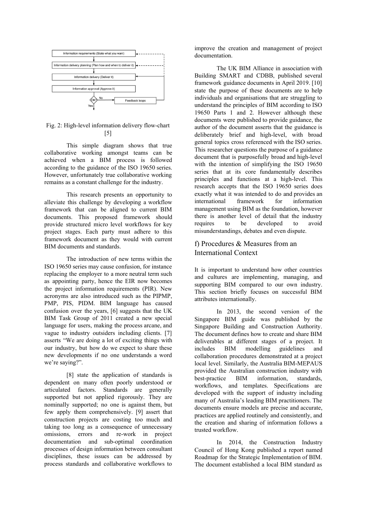

# Fig. 2: High-level information delivery flow-chart [5]

This simple diagram shows that true collaborative working amongst teams can be achieved when a BIM process is followed according to the guidance of the ISO 19650 series. However, unfortunately true collaborative working remains as a constant challenge for the industry.

This research presents an opportunity to alleviate this challenge by developing a workflow framework that can be aligned to current BIM documents. This proposed framework should provide structured micro level workflows for key project stages. Each party must adhere to this framework document as they would with current BIM documents and standards.

The introduction of new terms within the ISO 19650 series may cause confusion, for instance replacing the employer to a more neutral term such as appointing party, hence the EIR now becomes the project information requirements (PIR). New acronyms are also introduced such as the PIPMP, PMP, PIS, PIDM. BIM language has caused confusion over the years, [6] suggests that the UK BIM Task Group of 2011 created a new special language for users, making the process arcane, and vague to industry outsiders including clients. [7] asserts "We are doing a lot of exciting things with our industry, but how do we expect to share these new developments if no one understands a word we're saying?".

[8] state the application of standards is dependent on many often poorly understood or articulated factors. Standards are generally supported but not applied rigorously. They are nominally supported; no one is against them, but few apply them comprehensively. [9] assert that construction projects are costing too much and taking too long as a consequence of unnecessary omissions, errors and re-work in project documentation and sub-optimal coordination processes of design information between consultant disciplines, these issues can be addressed by process standards and collaborative workflows to

improve the creation and management of project documentation.

The UK BIM Alliance in association with Building SMART and CDBB, published several framework guidance documents in April 2019. [10] state the purpose of these documents are to help individuals and organisations that are struggling to understand the principles of BIM according to ISO 19650 Parts 1 and 2. However although these documents were published to provide guidance, the author of the document asserts that the guidance is deliberately brief and high-level, with broad general topics cross referenced with the ISO series. This researcher questions the purpose of a guidance document that is purposefully broad and high-level with the intention of simplifying the ISO 19650 series that at its core fundamentally describes principles and functions at a high-level. This research accepts that the ISO 19650 series does exactly what it was intended to do and provides an international framework for information management using BIM as the foundation, however there is another level of detail that the industry requires to be developed to avoid misunderstandings, debates and even dispute.

# f) Procedures & Measures from an International Context

It is important to understand how other countries and cultures are implementing, managing, and supporting BIM compared to our own industry. This section briefly focuses on successful BIM attributes internationally.

In 2013, the second version of the Singapore BIM guide was published by the Singapore Building and Construction Authority. The document defines how to create and share BIM deliverables at different stages of a project. It includes BIM modelling guidelines and collaboration procedures demonstrated at a project local level. Similarly, the Australia BIM-MEPAUS provided the Australian construction industry with best-practice BIM information, standards, workflows, and templates. Specifications are developed with the support of industry including many of Australia's leading BIM practitioners. The documents ensure models are precise and accurate, practices are applied routinely and consistently, and the creation and sharing of information follows a trusted workflow.

In 2014, the Construction Industry Council of Hong Kong published a report named Roadmap for the Strategic Implementation of BIM. The document established a local BIM standard as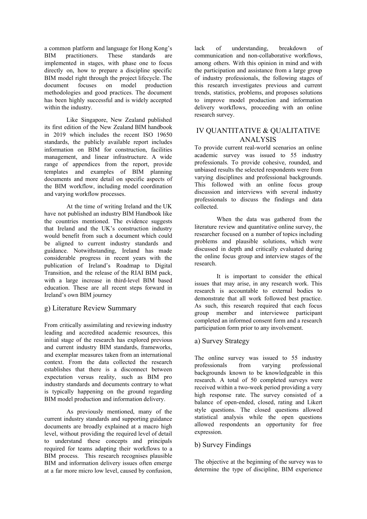a common platform and language for Hong Kong's BIM practitioners. These standards are implemented in stages, with phase one to focus directly on, how to prepare a discipline specific BIM model right through the project lifecycle. The document focuses on model production methodologies and good practices. The document has been highly successful and is widely accepted within the industry.

Like Singapore, New Zealand published its first edition of the New Zealand BIM handbook in 2019 which includes the recent ISO 19650 standards, the publicly available report includes information on BIM for construction, facilities management, and linear infrastructure. A wide range of appendices from the report, provide templates and examples of BIM planning documents and more detail on specific aspects of the BIM workflow, including model coordination and varying workflow processes.

At the time of writing Ireland and the UK have not published an industry BIM Handbook like the countries mentioned. The evidence suggests that Ireland and the UK's construction industry would benefit from such a document which could be aligned to current industry standards and guidance. Notwithstanding, Ireland has made considerable progress in recent years with the publication of Ireland's Roadmap to Digital Transition, and the release of the RIAI BIM pack, with a large increase in third-level BIM based education. These are all recent steps forward in Ireland's own BIM journey

# g) Literature Review Summary

From critically assimilating and reviewing industry leading and accredited academic resources, this initial stage of the research has explored previous and current industry BIM standards, frameworks, and exemplar measures taken from an international context. From the data collected the research establishes that there is a disconnect between expectation versus reality, such as BIM pro industry standards and documents contrary to what is typically happening on the ground regarding BIM model production and information delivery.

As previously mentioned, many of the current industry standards and supporting guidance documents are broadly explained at a macro high level, without providing the required level of detail to understand these concepts and principals required for teams adapting their workflows to a BIM process. This research recognises plausible BIM and information delivery issues often emerge at a far more micro low level, caused by confusion,

lack of understanding, breakdown of communication and non-collaborative workflows, among others. With this opinion in mind and with the participation and assistance from a large group of industry professionals, the following stages of this research investigates previous and current trends, statistics, problems, and proposes solutions to improve model production and information delivery workflows, proceeding with an online research survey.

# IV QUANTITATIVE & QUALITATIVE ANALYSIS

To provide current real-world scenarios an online academic survey was issued to 55 industry professionals. To provide cohesive, rounded, and unbiased results the selected respondents were from varying disciplines and professional backgrounds. This followed with an online focus group discussion and interviews with several industry professionals to discuss the findings and data collected.

When the data was gathered from the literature review and quantitative online survey, the researcher focused on a number of topics including problems and plausible solutions, which were discussed in depth and critically evaluated during the online focus group and interview stages of the research.

It is important to consider the ethical issues that may arise, in any research work. This research is accountable to external bodies to demonstrate that all work followed best practice. As such, this research required that each focus group member and interviewee participant completed an informed consent form and a research participation form prior to any involvement.

# a) Survey Strategy

The online survey was issued to 55 industry professionals from varying professional backgrounds known to be knowledgeable in this research. A total of 50 completed surveys were received within a two-week period providing a very high response rate. The survey consisted of a balance of open-ended, closed, rating and Likert style questions. The closed questions allowed statistical analysis while the open questions allowed respondents an opportunity for free expression.

# b) Survey Findings

The objective at the beginning of the survey was to determine the type of discipline, BIM experience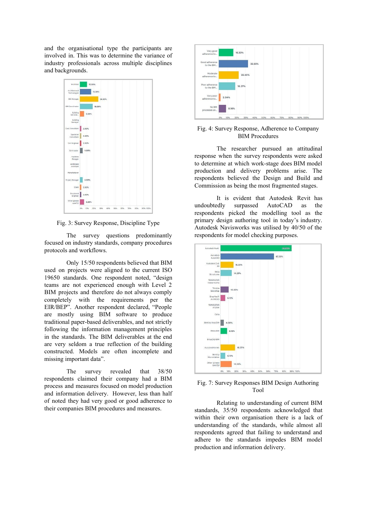and the organisational type the participants are involved in. This was to determine the variance of industry professionals across multiple disciplines and backgrounds.



Fig. 3: Survey Response, Discipline Type

The survey questions predominantly focused on industry standards, company procedures protocols and workflows.

Only 15/50 respondents believed that BIM used on projects were aligned to the current ISO 19650 standards. One respondent noted, "design teams are not experienced enough with Level 2 BIM projects and therefore do not always comply completely with the requirements per the EIR/BEP". Another respondent declared, "People are mostly using BIM software to produce traditional paper-based deliverables, and not strictly following the information management principles in the standards. The BIM deliverables at the end are very seldom a true reflection of the building constructed. Models are often incomplete and missing important data".

The survey revealed that 38/50 respondents claimed their company had a BIM process and measures focused on model production and information delivery. However, less than half of noted they had very good or good adherence to their companies BIM procedures and measures.



### Fig. 4: Survey Response, Adherence to Company BIM Procedures

The researcher pursued an attitudinal response when the survey respondents were asked to determine at which work-stage does BIM model production and delivery problems arise. The respondents believed the Design and Build and Commission as being the most fragmented stages.

It is evident that Autodesk Revit has undoubtedly surpassed AutoCAD as the respondents picked the modelling tool as the primary design authoring tool in today's industry. Autodesk Navisworks was utilised by 40/50 of the respondents for model checking purposes.



#### Fig. 7: Survey Responses BIM Design Authoring Tool

Relating to understanding of current BIM standards, 35/50 respondents acknowledged that within their own organisation there is a lack of understanding of the standards, while almost all respondents agreed that failing to understand and adhere to the standards impedes BIM model production and information delivery.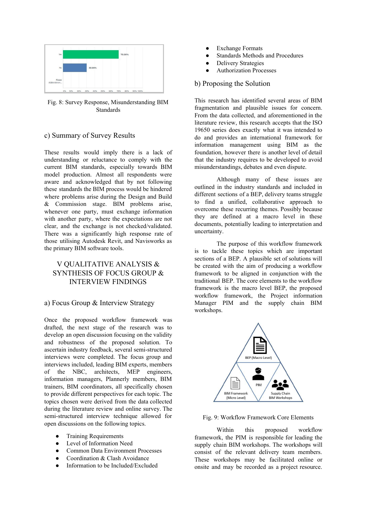

Fig. 8: Survey Response, Misunderstanding BIM Standards

# c) Summary of Survey Results

These results would imply there is a lack of understanding or reluctance to comply with the current BIM standards, especially towards BIM model production. Almost all respondents were aware and acknowledged that by not following these standards the BIM process would be hindered where problems arise during the Design and Build & Commission stage. BIM problems arise, whenever one party, must exchange information with another party, where the expectations are not clear, and the exchange is not checked/validated. There was a significantly high response rate of those utilising Autodesk Revit, and Navisworks as the primary BIM software tools.

# V QUALITATIVE ANALYSIS & SYNTHESIS OF FOCUS GROUP & INTERVIEW FINDINGS

# a) Focus Group & Interview Strategy

Once the proposed workflow framework was drafted, the next stage of the research was to develop an open discussion focusing on the validity and robustness of the proposed solution. To ascertain industry feedback, several semi-structured interviews were completed. The focus group and interviews included, leading BIM experts, members of the NBC, architects, MEP engineers, information managers, Plannerly members, BIM trainers, BIM coordinators, all specifically chosen to provide different perspectives for each topic. The topics chosen were derived from the data collected during the literature review and online survey. The semi-structured interview technique allowed for open discussions on the following topics.

- **•** Training Requirements
- Level of Information Need
- Common Data Environment Processes
- Coordination & Clash Avoidance
- Information to be Included/Excluded
- **Exchange Formats**
- Standards Methods and Procedures
- **Delivery Strategies**
- **Authorization Processes**

# b) Proposing the Solution

This research has identified several areas of BIM fragmentation and plausible issues for concern. From the data collected, and aforementioned in the literature review, this research accepts that the ISO 19650 series does exactly what it was intended to do and provides an international framework for information management using BIM as the foundation, however there is another level of detail that the industry requires to be developed to avoid misunderstandings, debates and even dispute.

Although many of these issues are outlined in the industry standards and included in different sections of a BEP, delivery teams struggle to find a unified, collaborative approach to overcome these recurring themes. Possibly because they are defined at a macro level in these documents, potentially leading to interpretation and uncertainty.

The purpose of this workflow framework is to tackle these topics which are important sections of a BEP. A plausible set of solutions will be created with the aim of producing a workflow framework to be aligned in conjunction with the traditional BEP. The core elements to the workflow framework is the macro level BEP, the proposed workflow framework, the Project information Manager PIM and the supply chain BIM workshops.



Fig. 9: Workflow Framework Core Elements

Within this proposed workflow framework, the PIM is responsible for leading the supply chain BIM workshops. The workshops will consist of the relevant delivery team members. These workshops may be facilitated online or onsite and may be recorded as a project resource.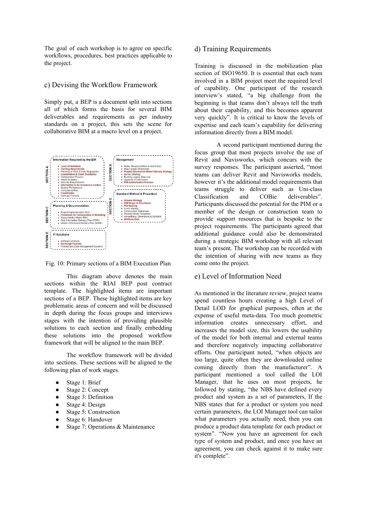The goal of each workshop is to agree on specific workflows, procedures, best practices applicable to the project.

#### c) Devising the Workflow Framework

Simply put, a BEP is a document split into sections all of which forms the basis for several BIM deliverables and requirements as per industry standards on a project, this sets the scene for collaborative BIM at a macro level on a project.



Fig. 10: Primary sections of a BIM Execution Plan

This diagram above denotes the main sections within the RIAI BEP post contract template. The highlighted items are important sections of a BEP. These highlighted items are key problematic areas of concern and will be discussed in depth during the focus groups and interviews stages with the intention of providing plausible solutions to each section and finally embedding these solutions into the proposed workflow framework that will be aligned to the main BEP.

The workflow framework will be divided into sections. These sections will be aligned to the following plan of work stages.

- Stage 1: Brief
- Stage 2: Concept
- Stage 3: Definition
- Stage 4: Design
- Stage 5: Construction
- Stage 6: Handover
- Stage 7: Operations & Maintenance

# d) Training Requirements

Training is discussed in the mobilization plan section of ISO19650. It is essential that each team involved in a BIM project meet the required level of capability. One participant of the research interview's stated, "a big challenge from the beginning is that teams don't always tell the truth about their capability, and this becomes apparent very quickly". It is critical to know the levels of expertise and each team's capability for delivering information directly from a BIM model.

A second participant mentioned during the focus group that most projects involve the use of Revit and Navisworks, which concurs with the survey responses. The participant asserted, "most teams can deliver Revit and Navisworks models, however it's the additional model requirements that teams struggle to deliver such as Uni-class Classification and COBie deliverables". Participants discussed the potential for the PIM or a member of the design or construction team to provide support resources that is bespoke to the project requirements. The participants agreed that additional guidance could also be demonstrated during a strategic BIM workshop with all relevant team's present. The workshop can be recorded with the intention of sharing with new teams as they come onto the project.

#### e) Level of Information Need

As mentioned in the literature review, project teams spend countless hours creating a high Level of Detail LOD for graphical purposes, often at the expense of useful meta-data. Too much geometric information creates unnecessary effort, and increases the model size, this lowers the usability of the model for both internal and external teams and therefore negatively impacting collaborative efforts. One participant noted, "when objects are too large, quite often they are downloaded online coming directly from the manufacturer". A participant mentioned a tool called the LOI Manager, that he uses on most projects, he followed by stating, "the NBS have defined every product and system as a set of parameters, If the NBS states that for a product or system you need certain parameters, the LOI Manager tool can tailor what parameters you actually need, then you can produce a product data template for each product or system". "Now you have an agreement for each type of system and product, and once you have an agreement, you can check against it to make sure it's complete".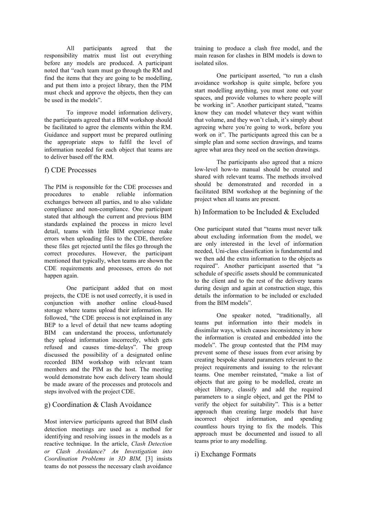All participants agreed that the responsibility matrix must list out everything before any models are produced. A participant noted that "each team must go through the RM and find the items that they are going to be modelling, and put them into a project library, then the PIM must check and approve the objects, then they can be used in the models".

To improve model information delivery, the participants agreed that a BIM workshop should be facilitated to agree the elements within the RM. Guidance and support must be prepared outlining the appropriate steps to fulfil the level of information needed for each object that teams are to deliver based off the RM.

# f) CDE Processes

The PIM is responsible for the CDE processes and procedures to enable reliable information exchanges between all parties, and to also validate compliance and non-compliance. One participant stated that although the current and previous BIM standards explained the process in micro level detail, teams with little BIM experience make errors when uploading files to the CDE, therefore these files get rejected until the files go through the correct procedures. However, the participant mentioned that typically, when teams are shown the CDE requirements and processes, errors do not happen again.

One participant added that on most projects, the CDE is not used correctly, it is used in conjunction with another online cloud-based storage where teams upload their information. He followed, "the CDE process is not explained in any BEP to a level of detail that new teams adopting BIM can understand the process, unfortunately they upload information incorrectly, which gets refused and causes time-delays". The group discussed the possibility of a designated online recorded BIM workshop with relevant team members and the PIM as the host. The meeting would demonstrate how each delivery team should be made aware of the processes and protocols and steps involved with the project CDE.

# g) Coordination & Clash Avoidance

Most interview participants agreed that BIM clash detection meetings are used as a method for identifying and resolving issues in the models as a reactive technique. In the article, *Clash Detection or Clash Avoidance? An Investigation into Coordination Problems in 3D BIM,* [3] insists teams do not possess the necessary clash avoidance training to produce a clash free model, and the main reason for clashes in BIM models is down to isolated silos.

One participant asserted, "to run a clash avoidance workshop is quite simple, before you start modelling anything, you must zone out your spaces, and provide volumes to where people will be working in". Another participant stated, "teams know they can model whatever they want within that volume, and they won't clash, it's simply about agreeing where you're going to work, before you work on it". The participants agreed this can be a simple plan and some section drawings, and teams agree what area they need on the section drawings.

The participants also agreed that a micro low-level how-to manual should be created and shared with relevant teams. The methods involved should be demonstrated and recorded in a facilitated BIM workshop at the beginning of the project when all teams are present.

# h) Information to be Included & Excluded

One participant stated that "teams must never talk about excluding information from the model, we are only interested in the level of information needed, Uni-class classification is fundamental and we then add the extra information to the objects as required". Another participant asserted that "a schedule of specific assets should be communicated to the client and to the rest of the delivery teams during design and again at construction stage, this details the information to be included or excluded from the BIM models".

One speaker noted, "traditionally, all teams put information into their models in dissimilar ways, which causes inconsistency in how the information is created and embedded into the models". The group contested that the PIM may prevent some of these issues from ever arising by creating bespoke shared parameters relevant to the project requirements and issuing to the relevant teams. One member reinstated, "make a list of objects that are going to be modelled, create an object library, classify and add the required parameters to a single object, and get the PIM to verify the object for suitability". This is a better approach than creating large models that have incorrect object information, and spending countless hours trying to fix the models. This approach must be documented and issued to all teams prior to any modelling.

# i) Exchange Formats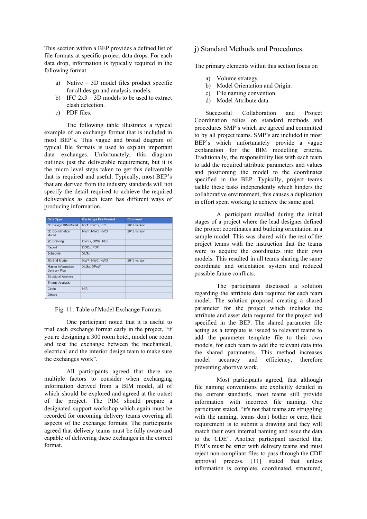This section within a BEP provides a defined list of file formats at specific project data drops. For each data drop, information is typically required in the following format.

- a) Native 3D model files product specific for all design and analysis models.
- b) IFC  $2x3 3D$  models to be used to extract clash detection.
- c) PDF files.

The following table illustrates a typical example of an exchange format that is included in most BEP's. This vague and broad diagram of typical file formats is used to explain important data exchanges. Unfortunately, this diagram outlines just the deliverable requirement, but it is the micro level steps taken to get this deliverable that is required and useful. Typically, most BEP's that are derived from the industry standards will not specify the detail required to achieve the required deliverables as each team has different ways of producing information.

| <b>Data Type</b>                                  | <b>Exchange File Format</b> | <b>Comment</b> |
|---------------------------------------------------|-----------------------------|----------------|
| 3D Design BIM Model                               | RVT, DWFx, IFC              | 2019 version   |
| 3D Coordination<br>Model                          | NWF, NWC, NWD               | 2019 version   |
| 2D Drawing                                        | DWFx, DWG, PDF              |                |
| Report                                            | DOCx, PDF                   |                |
| Schedule                                          | <b>XLSx</b>                 |                |
| 4D BIM Model                                      | NWF, NWC, NWD               | 2019 version   |
| <b>Master Information</b><br><b>Delivery Plan</b> | <b>XLSx. DPoW</b>           |                |
| <b>Structural Analysis</b>                        |                             |                |
| <b>Energy Analysis</b>                            |                             |                |
| Cobie                                             | N/A                         |                |
| <b>Others</b>                                     |                             |                |

Fig. 11: Table of Model Exchange Formats

One participant noted that it is useful to trial each exchange format early in the project, "if you're designing a 300 room hotel, model one room and test the exchange between the mechanical, electrical and the interior design team to make sure the exchanges work".

All participants agreed that there are multiple factors to consider when exchanging information derived from a BIM model, all of which should be explored and agreed at the outset of the project. The PIM should prepare a designated support workshop which again must be recorded for oncoming delivery teams covering all aspects of the exchange formats. The participants agreed that delivery teams must be fully aware and capable of delivering these exchanges in the correct format.

### j) Standard Methods and Procedures

The primary elements within this section focus on

- a) Volume strategy.
- b) Model Orientation and Origin.
- c) File naming convention.
- d) Model Attribute data.

Successful Collaboration and Project Coordination relies on standard methods and procedures SMP's which are agreed and committed to by all project teams. SMP's are included in most BEP's which unfortunately provide a vague explanation for the BIM modelling criteria. Traditionally, the responsibility lies with each team to add the required attribute parameters and values and positioning the model to the coordinates specified in the BEP. Typically, project teams tackle these tasks independently which hinders the collaborative environment, this causes a duplication in effort spent working to achieve the same goal.

A participant recalled during the initial stages of a project where the lead designer defined the project coordinates and building orientation in a sample model. This was shared with the rest of the project teams with the instruction that the teams were to acquire the coordinates into their own models. This resulted in all teams sharing the same coordinate and orientation system and reduced possible future conflicts.

The participants discussed a solution regarding the attribute data required for each team model. The solution proposed creating a shared parameter for the project which includes the attribute and asset data required for the project and specified in the BEP. The shared parameter file acting as a template is issued to relevant teams to add the parameter template file to their own models, for each team to add the relevant data into the shared parameters. This method increases model accuracy and efficiency, therefore preventing abortive work.

Most participants agreed, that although file naming conventions are explicitly detailed in the current standards, most teams still provide information with incorrect file naming. One participant stated, "it's not that teams are struggling with the naming, teams don't bother or care, their requirement is to submit a drawing and they will match their own internal naming and issue the data to the CDE". Another participant asserted that PIM's must be strict with delivery teams and must reject non-compliant files to pass through the CDE approval process. [11] stated that unless information is complete, coordinated, structured,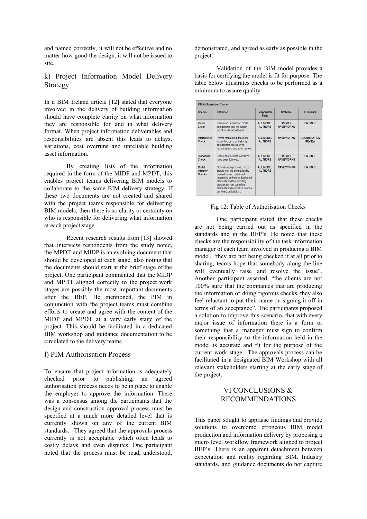and named correctly, it will not be effective and no matter how good the design, it will not be issued to site.

# k) Project Information Model Delivery Strategy

In a BIM Ireland article [12] stated that everyone involved in the delivery of building information should have complete clarity on what information they are responsible for and in what delivery format. When project information deliverables and responsibilities are absent this leads to delays, variations, cost overruns and unreliable building asset information.

By creating lists of the information required in the form of the MIDP and MPDT, this enables project teams delivering BIM models to collaborate to the same BIM delivery strategy. If these two documents are not created and shared with the project teams responsible for delivering BIM models, then there is no clarity or certainty on who is responsible for delivering what information at each project stage.

Recent research results from [13] showed that interview respondents from the study noted, the MPDT and MIDP is an evolving document that should be developed at each stage, also noting that the documents should start at the brief stage of the project. One participant commented that the MIDP and MPDT aligned correctly to the project work stages are possibly the most important documents after the BEP. He mentioned, the PIM in conjunction with the project teams must combine efforts to create and agree with the content of the MIDP and MPDT at a very early stage of the project. This should be facilitated in a dedicated BIM workshop and guidance documentation to be circulated to the delivery teams.

#### l) PIM Authorisation Process

To ensure that project information is adequately checked prior to publishing, an agreed authorisation process needs to be in place to enable the employer to approve the information. There was a consensus among the participants that the design and construction approval process must be specified at a much more detailed level that is currently shown on any of the current BIM standards. They agreed that the approvals process currently is not acceptable which often leads to costly delays and even disputes. One participant noted that the process must be read, understood, demonstrated, and agreed as early as possible in the project.

Validation of the BIM model provides a basis for certifying the model is fit for purpose. The table below illustrates checks to be performed as a minimum to assure quality.

| <b>PIM Authorisation Checks</b>            |                                                                                                                                                                                                                                                           |                                    |                                    |                                      |  |
|--------------------------------------------|-----------------------------------------------------------------------------------------------------------------------------------------------------------------------------------------------------------------------------------------------------------|------------------------------------|------------------------------------|--------------------------------------|--|
| <b>Checks</b>                              | <b>Definition</b>                                                                                                                                                                                                                                         | <b>Responsible</b><br>Party        | <b>Software</b>                    | Frequency                            |  |
| <b>Visual</b><br><b>Check</b>              | Ensure no unintended model<br>components and the design<br>intent has been followed                                                                                                                                                                       | ALL MODEL<br><b>AUTHORS</b>        | RFVIT /<br><b>NAVISWORKS</b>       | <b>ON ISSUE</b>                      |  |
| Interference<br>Check                      | Detect problems in the model<br>where two or more building<br>components are clashing<br>including hard and soft clashes.                                                                                                                                 | <b>ALL MODEL</b><br><b>AUTHORS</b> | <b>NAVISWORKS</b>                  | <b>COORDINATION</b><br><b>REVIEW</b> |  |
| <b>Standards</b><br><b>Check</b>           | Fnsure that all BIM standards<br>have been followed                                                                                                                                                                                                       | <b>ALL MODEL</b><br><b>AUTHORS</b> | <b>REVIT/</b><br><b>NAVISWORKS</b> | <b>ON ISSUE</b>                      |  |
| <b>Model</b><br><b>Integrity</b><br>Checks | QC validation process used to<br>ensure that the project facility<br>dataset has no undefined.<br>incorrectly defined or duplicated<br>elements and the reporting<br>process on non-compliant<br>elements and corrective actions<br>are being undertaken. | <b>ALL MODEL</b><br><b>AUTHORS</b> | <b>NAVISWORKS</b>                  | <b>ON ISSUE</b>                      |  |

#### Fig 12: Table of Authorisation Checks

One participant stated that these checks are not being carried out as specified in the standards and in the BEP's. He noted that these checks are the responsibility of the task information manager of each team involved in producing a BIM model. "they are not being checked if at all prior to sharing, teams hope that somebody along the line will eventually raise and resolve the issue". Another participant asserted, "the clients are not 100% sure that the companies that are producing the information or doing rigorous checks, they also feel reluctant to put their name on signing it off in terms of an acceptance". The participants proposed a solution to improve this scenario, that with every major issue of information there is a form or something that a manager must sign to confirm their responsibility to the information held in the model is accurate and fit for the purpose of the current work stage. The approvals process can be facilitated in a designated BIM Workshop with all relevant stakeholders starting at the early stage of the project.

# VI CONCLUSIONS & RECOMMENDATIONS

This paper sought to appraise findings and provide solutions to overcome erroneous BIM model production and information delivery by proposing a micro level workflow framework aligned to project BEP's. There is an apparent detachment between expectation and reality regarding BIM. Industry standards, and guidance documents do not capture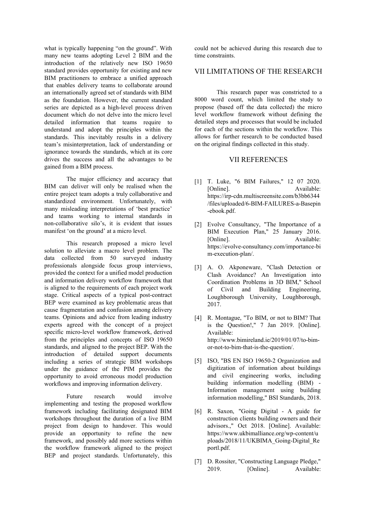what is typically happening "on the ground". With many new teams adopting Level 2 BIM and the introduction of the relatively new ISO 19650 standard provides opportunity for existing and new BIM practitioners to embrace a unified approach that enables delivery teams to collaborate around an internationally agreed set of standards with BIM as the foundation. However, the current standard series are depicted as a high-level process driven document which do not delve into the micro level detailed information that teams require to understand and adopt the principles within the standards. This inevitably results in a delivery team's misinterpretation, lack of understanding or ignorance towards the standards, which at its core drives the success and all the advantages to be gained from a BIM process.

The major efficiency and accuracy that BIM can deliver will only be realised when the entire project team adopts a truly collaborative and standardized environment. Unfortunately, with many misleading interpretations of 'best practice' and teams working to internal standards in non-collaborative silo's, it is evident that issues manifest 'on the ground' at a micro level.

This research proposed a micro level solution to alleviate a macro level problem. The data collected from 50 surveyed industry professionals alongside focus group interviews, provided the context for a unified model production and information delivery workflow framework that is aligned to the requirements of each project work stage. Critical aspects of a typical post-contract BEP were examined as key problematic areas that cause fragmentation and confusion among delivery teams. Opinions and advice from leading industry experts agreed with the concept of a project specific micro-level workflow framework, derived from the principles and concepts of ISO 19650 standards, and aligned to the project BEP. With the introduction of detailed support documents including a series of strategic BIM workshops under the guidance of the PIM provides the opportunity to avoid erroneous model production workflows and improving information delivery.

Future research would involve implementing and testing the proposed workflow framework including facilitating designated BIM workshops throughout the duration of a live BIM project from design to handover. This would provide an opportunity to refine the new framework, and possibly add more sections within the workflow framework aligned to the project BEP and project standards. Unfortunately, this could not be achieved during this research due to time constraints.

# VII LIMITATIONS OF THE RESEARCH

This research paper was constricted to a 8000 word count, which limited the study to propose (based off the data collected) the micro level workflow framework without defining the detailed steps and processes that would be included for each of the sections within the workflow. This allows for further research to be conducted based on the original findings collected in this study.

#### VII REFERENCES

- [1] T. Luke, "6 BIM Failures," 12 07 2020. [Online]. Available: https://irp-cdn.multiscreensite.com/b3bb6344 /files/uploaded/6-BIM-FAILURES-a-Basepin -ebook.pdf.
- [2] Evolve Consultancy, "The Importance of a BIM Execution Plan," 25 January 2016. [Online]. Available: https://evolve-consultancy.com/importance-bi m-execution-plan/.
- [3] A. O. Akponeware, "Clash Detection or Clash Avoidance? An Investigation into Coordination Problems in 3D BIM," School of Civil and Building Engineering, Loughborough University, Loughborough, 2017.
- [4] R. Montague, "To BIM, or not to BIM? That is the Question!," 7 Jan 2019. [Online]. Available: http://www.bimireland.ie/2019/01/07/to-bimor-not-to-bim-that-is-the-question/.
- [5] ISO, "BS EN ISO 19650-2 Organization and digitization of information about buildings and civil engineering works, including building information modelling (BIM) - Information management using building information modelling," BSI Standards, 2018.
- [6] R. Saxon, "Going Digital A guide for construction clients building owners and their advisors.," Oct 2018. [Online]. Available: https://www.ukbimalliance.org/wp-content/u ploads/2018/11/UKBIMA\_Going-Digital\_Re portl.pdf.
- [7] D. Rossiter, "Constructing Language Pledge," 2019. [Online]. Available: